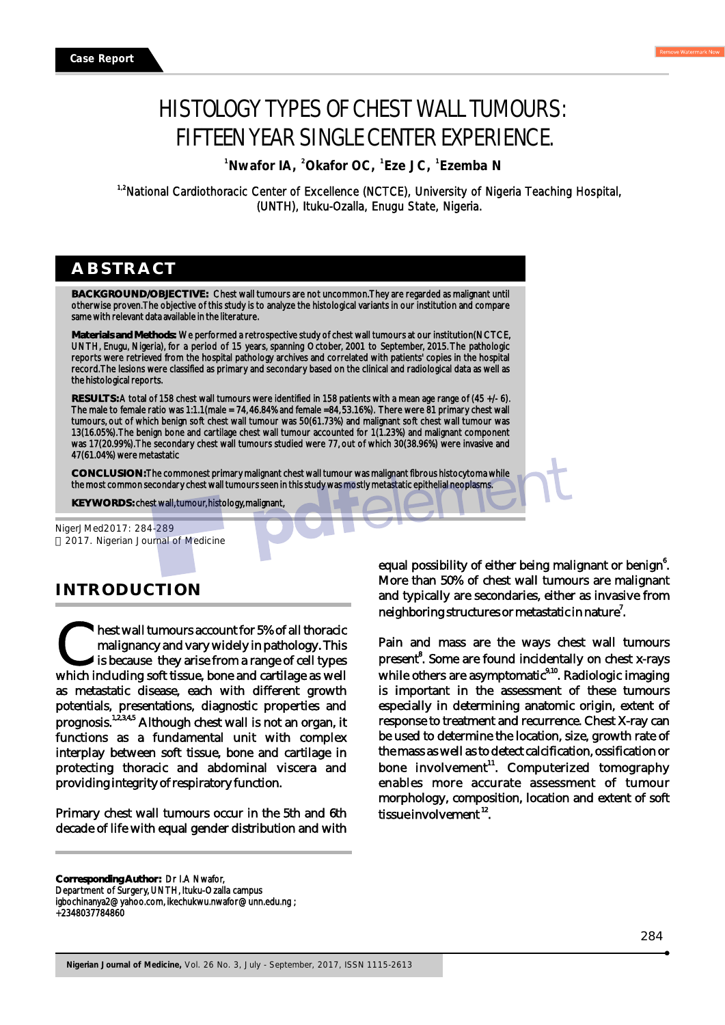<sup>1</sup> Nwafor IA, <sup>2</sup> Okafor OC, <sup>1</sup> Eze JC, <sup>1</sup> Ezemba N

<sup>1,2</sup>National Cardiothoracic Center of Excellence (NCTCE), University of Nigeria Teaching Hospital, (UNTH), Ituku-Ozalla, Enugu State, Nigeria.

# **ABSTRACT**

**BACKGROUND/OBJECTIVE:** Chest wall tumours are not uncommon. They are regarded as malignant until otherwise proven. The objective of this study is to analyze the histological variants in our institution and compare same with relevant data available in the literature.

**Materials and Methods:** We performed a retrospective study of chest wall tumours at our institution(NCTCE, UNTH, Enugu, Nigeria), for a period of 15 years, spanning October, 2001 to September, 2015. The pathologic reports were retrieved from the hospital pathology archives and correlated with patients' copies in the hospital record. The lesions were classified as primary and secondary based on the clinical and radiological data as well as the histological reports.

**RESULTS:** A total of 158 chest wall tumours were identified in 158 patients with a mean age range of (45 +/- 6). The male to female ratio was 1:1.1(male = 74, 46.84% and female =84, 53.16%). There were 81 primary chest wall tumours, out of which benign soft chest wall tumour was 50(61.73%) and malignant soft chest wall tumour was 13(16.05%). The benign bone and cartilage chest wall tumour accounted for 1(1.23%) and malignant component was 17(20.99%). The secondary chest wall tumours studied were 77, out of which 30(38.96%) were invasive and 47(61.04%) were metastatic

**CONCLUSION:** The commonest primary malignant chest wall tumour was malignant fibrous histocytoma while the most common secondary chest wall tumours seen in this study was mostly metastatic epithelial neoplasms.

**KEY WORDS:** chest wall, tumour, histology, malignant,

NigerJMed2017: 284-289 2017. Nigerian Journal of Medicine

# **INTRODUCTION**

hest wall tumours account for 5% of all thoracic<br>malignancy and vary widely in pathology. This<br>is because they arise from a range of cell types<br>which including soft tissue, bone and cartilage as well is because they arise from a range of cell types as metastatic disease, each with different growth potentials, presentations, diagnostic properties and prognosis.<sup>1,2,3,4,5</sup> Although chest wall is not an organ, it functions as a fundamental unit with complex interplay between soft tissue, bone and cartilage in protecting thoracic and abdominal viscera and providing integrity of respiratory function.

Primary chest wall tumours occur in the 5th and 6th decade of life with equal gender distribution and with

equal possibility of either being malignant or benign<sup>6</sup>. More than 50% of chest wall tumours are malignant and typically are secondaries, either as invasive from neighboring structures or metastatic in nature $\rlap{.}^7$ .

Pain and mass are the ways chest wall tumours present<sup>8</sup>. Some are found incidentally on chest x-rays while others are asymptomatic<sup>9,10</sup>. Radiologic imaging is important in the assessment of these tumours especially in determining anatomic origin, extent of response to treatment and recurrence. Chest X-ray can be used to determine the location, size, growth rate of the mass as well as to detect calcification, ossification or bone involvement<sup>11</sup>. Computerized tomography enables more accurate assessment of tumour morphology, composition, location and extent of soft  $its <sub>line</sub>$  involvement  $^{12}$ .

**Corresponding Author:** Dr I.A Nwafor, Department of Surgery, UNTH, Ituku-Ozalla campus igbochinanya2@yahoo.com, ikechukwu.nwafor@unn.edu.ng ; +2348037784860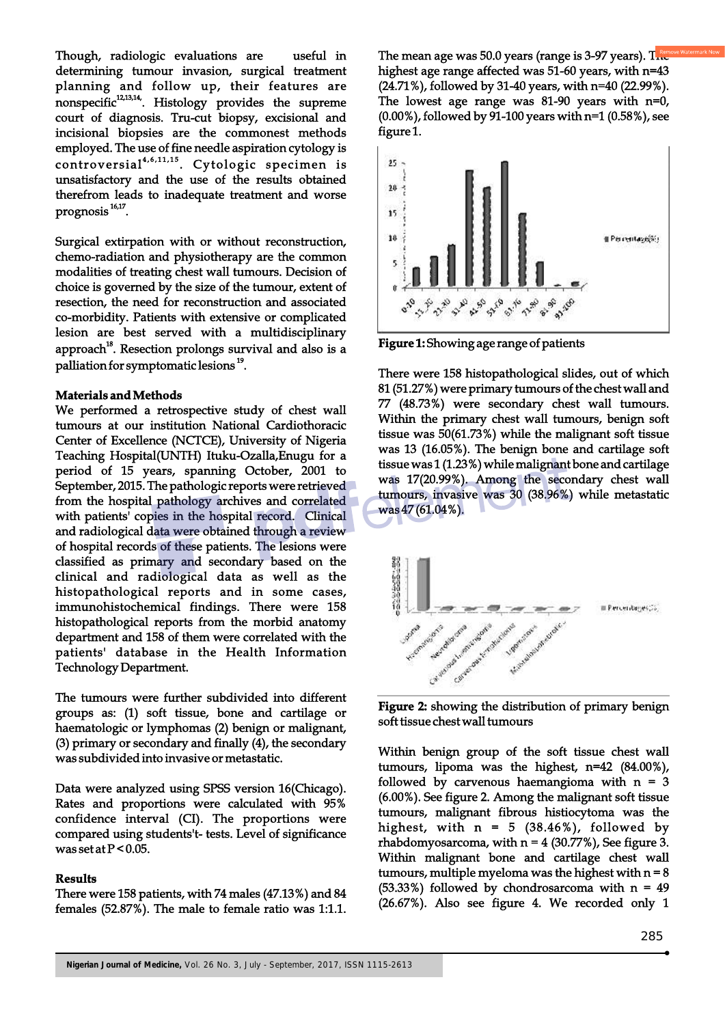Though, radiologic evaluations are useful in determining tumour invasion, surgical treatment planning and follow up, their features are nonspecific<sup>12,13,14</sup>. Histology provides the supreme court of diagnosis. Tru-cut biopsy, excisional and incisional biopsies are the commonest methods employed. The use of fine needle aspiration cytology is  $controversial<sup>4,6,11,15</sup>$ . Cytologic specimen is unsatisfactory and the use of the results obtained therefrom leads to inadequate treatment and worse  $prognosis$ <sup>16,17</sup>.

Surgical extirpation with or without reconstruction, chemo-radiation and physiotherapy are the common modalities of treating chest wall tumours. Decision of choice is governed by the size of the tumour, extent of resection, the need for reconstruction and associated co-morbidity. Patients with extensive or complicated lesion are best served with a multidisciplinary approach<sup>18</sup>. Resection prolongs survival and also is a palliation for symptomatic lesions<sup>19</sup>.

## **Materials and Methods**

We performed a retrospective study of chest wall tumours at our institution National Cardiothoracic Center of Excellence (NCTCE), University of Nigeria Teaching Hospital(UNTH) Ituku-Ozalla,Enugu for a period of 15 years, spanning October, 2001 to September, 2015. The pathologic reports were retrieved from the hospital pathology archives and correlated with patients' copies in the hospital record. Clinical and radiological data were obtained through a review of hospital records of these patients. The lesions were classified as primary and secondary based on the clinical and radiological data as well as the histopathological reports and in some cases, immunohistochemical findings. There were 158 histopathological reports from the morbid anatomy department and 158 of them were correlated with the patients' database in the Health Information Technology Department.

The tumours were further subdivided into different groups as: (1) soft tissue, bone and cartilage or haematologic or lymphomas (2) benign or malignant, (3) primary or secondary and finally (4), the secondary was subdivided into invasive or metastatic.

Data were analyzed using SPSS version 16(Chicago). Rates and proportions were calculated with 95% confidence interval (CI). The proportions were compared using students't- tests. Level of significance was set at  $P < 0.05$ .

## **Results**

There were 158 patients, with 74 males (47.13%) and 84 females (52.87%). The male to female ratio was 1:1.1. The mean age was 50.0 years (range is 3-97 years).  $T_{\text{max}}^{\text{ren}}$ highest age range affected was 51-60 years, with n=43 (24.71%), followed by 31-40 years, with n=40 (22.99%). The lowest age range was 81-90 years with n=0, (0.00%), followed by 91-100 years with n=1 (0.58%), see figure 1.



**Figure 1:** Showing age range of patients

There were 158 histopathological slides, out of which 81 (51.27%) were primary tumours of the chest wall and 77 (48.73%) were secondary chest wall tumours. Within the primary chest wall tumours, benign soft tissue was 50(61.73%) while the malignant soft tissue was 13 (16.05%). The benign bone and cartilage soft tissue was 1 (1.23%) while malignant bone and cartilage was 17(20.99%). Among the secondary chest wall tumours, invasive was 30 (38.96%) while metastatic was 47 (61.04%).



**Figure 2:** showing the distribution of primary benign soft tissue chest wall tumours

Within benign group of the soft tissue chest wall tumours, lipoma was the highest, n=42 (84.00%), followed by carvenous haemangioma with  $n = 3$ (6.00%). See figure 2. Among the malignant soft tissue tumours, malignant fibrous histiocytoma was the highest, with  $n = 5$  (38.46%), followed by rhabdomyosarcoma, with  $n = 4$  (30.77%), See figure 3. Within malignant bone and cartilage chest wall tumours, multiple myeloma was the highest with  $n = 8$ (53.33%) followed by chondrosarcoma with  $n = 49$ (26.67%). Also see figure 4. We recorded only 1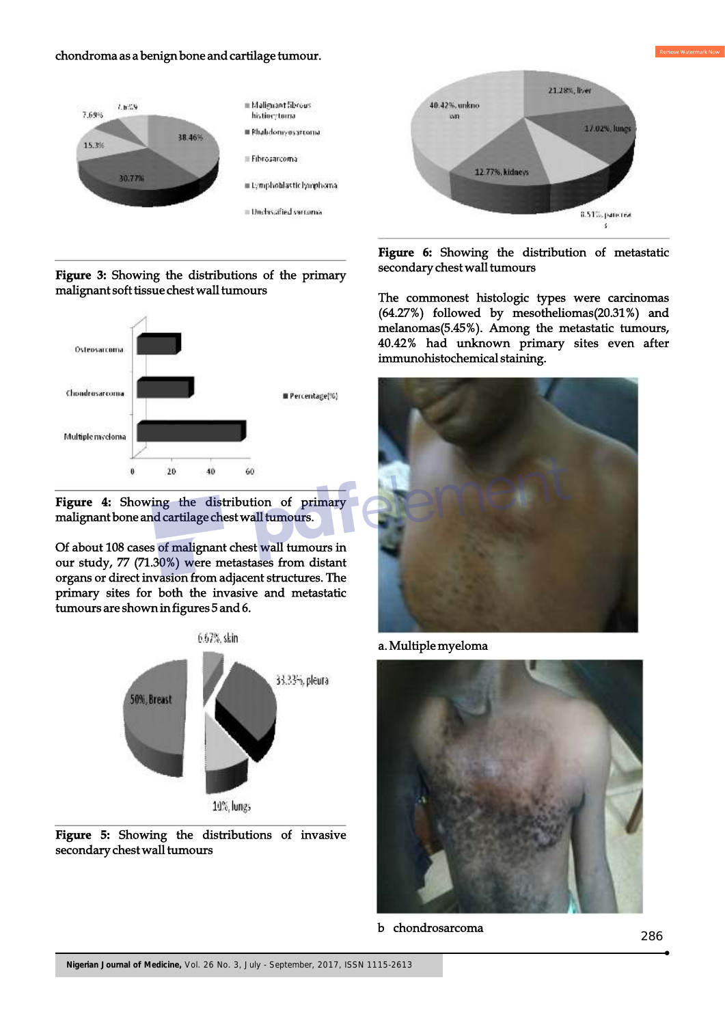#### chondroma as a benign bone and cartilage tumour.



**Figure 3:** Showing the distributions of the primary malignant soft tissue chest wall tumours





Of about 108 cases of malignant chest wall tumours in our study, 77 (71.30%) were metastases from distant organs or direct invasion from adjacent structures. The primary sites for both the invasive and metastatic tumours are shown in figures 5 and 6.







**Figure 6:** Showing the distribution of metastatic secondary chest wall tumours

The commonest histologic types were carcinomas (64.27%) followed by mesotheliomas(20.31%) and melanomas(5.45%). Among the metastatic tumours, 40.42% had unknown primary sites even after immunohistochemical staining.



a. Multiple myeloma



b chondrosarcoma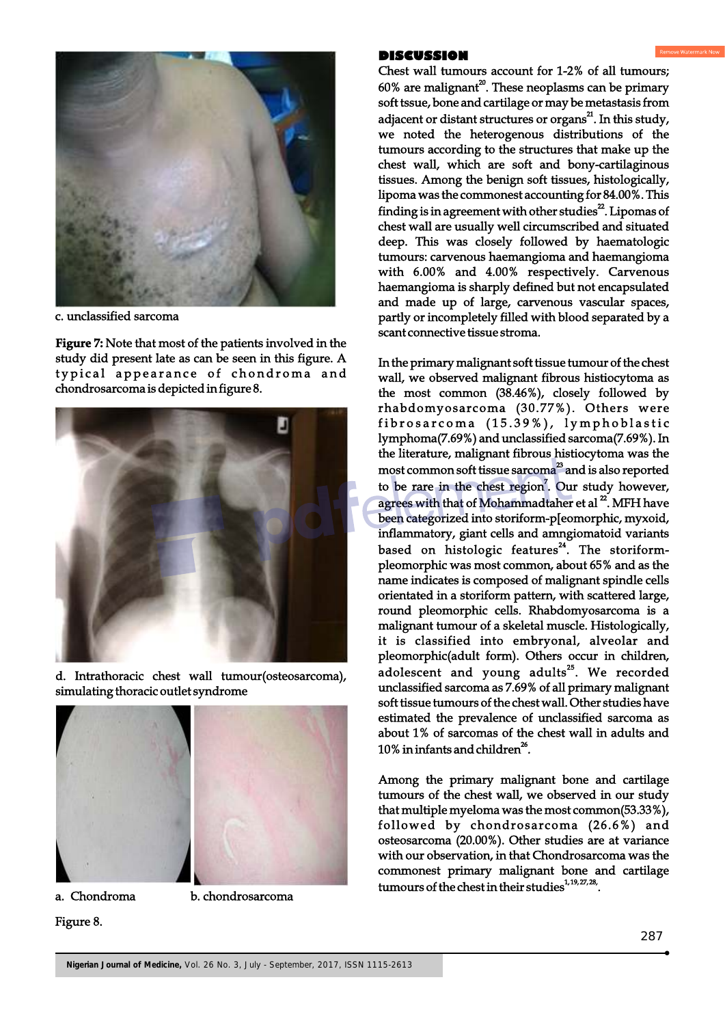

c. unclassified sarcoma

**Figure 7:** Note that most of the patients involved in the study did present late as can be seen in this figure. A typical appearance of chondroma and chondrosarcoma is depicted in figure 8.



d. Intrathoracic chest wall tumour(osteosarcoma), simulating thoracic outlet syndrome



Figure 8.

a. Chondroma b. chondrosarcoma

# **DISCUSSION**

Chest wall tumours account for 1-2% of all tumours;  $60\%$  are malignant<sup>20</sup>. These neoplasms can be primary soft tssue, bone and cartilage or may be metastasis from adjacent or distant structures or organs<sup>21</sup>. In this study, we noted the heterogenous distributions of the tumours according to the structures that make up the chest wall, which are soft and bony-cartilaginous tissues. Among the benign soft tissues, histologically, lipoma was the commonest accounting for 84.00%. This finding is in agreement with other studies<sup>22</sup>. Lipomas of chest wall are usually well circumscribed and situated deep. This was closely followed by haematologic tumours: carvenous haemangioma and haemangioma with 6.00% and 4.00% respectively. Carvenous haemangioma is sharply defined but not encapsulated and made up of large, carvenous vascular spaces, partly or incompletely filled with blood separated by a scant connective tissue stroma.

In the primary malignant soft tissue tumour of the chest wall, we observed malignant fibrous histiocytoma as the most common (38.46%), closely followed by rhabdomyosarcoma (30.77%). Others were fibrosarcoma (15.39%), lymphoblastic lymphoma(7.69%) and unclassified sarcoma(7.69%). In the literature, malignant fibrous histiocytoma was the most common soft tissue sarcoma<sup>23</sup> and is also reported to be rare in the chest region<sup>7</sup>. Our study however, agrees with that of Mohammadtaher et al  $^{22}$ . MFH have been categorized into storiform-p[eomorphic, myxoid, inflammatory, giant cells and amngiomatoid variants based on histologic features<sup>24</sup>. The storiformpleomorphic was most common, about 65% and as the name indicates is composed of malignant spindle cells orientated in a storiform pattern, with scattered large, round pleomorphic cells. Rhabdomyosarcoma is a malignant tumour of a skeletal muscle. Histologically, it is classified into embryonal, alveolar and pleomorphic(adult form). Others occur in children, adolescent and young adults $^{25}$ . We recorded unclassified sarcoma as 7.69% of all primary malignant soft tissue tumours of the chest wall. Other studies have estimated the prevalence of unclassified sarcoma as about 1% of sarcomas of the chest wall in adults and 10% in infants and children<sup>26</sup>.

Among the primary malignant bone and cartilage tumours of the chest wall, we observed in our study that multiple myeloma was the most common(53.33%), followed by chondrosarcoma (26.6%) and osteosarcoma (20.00%). Other studies are at variance with our observation, in that Chondrosarcoma was the commonest primary malignant bone and cartilage tumours of the chest in their studies  $1, 19, 27, 28$ .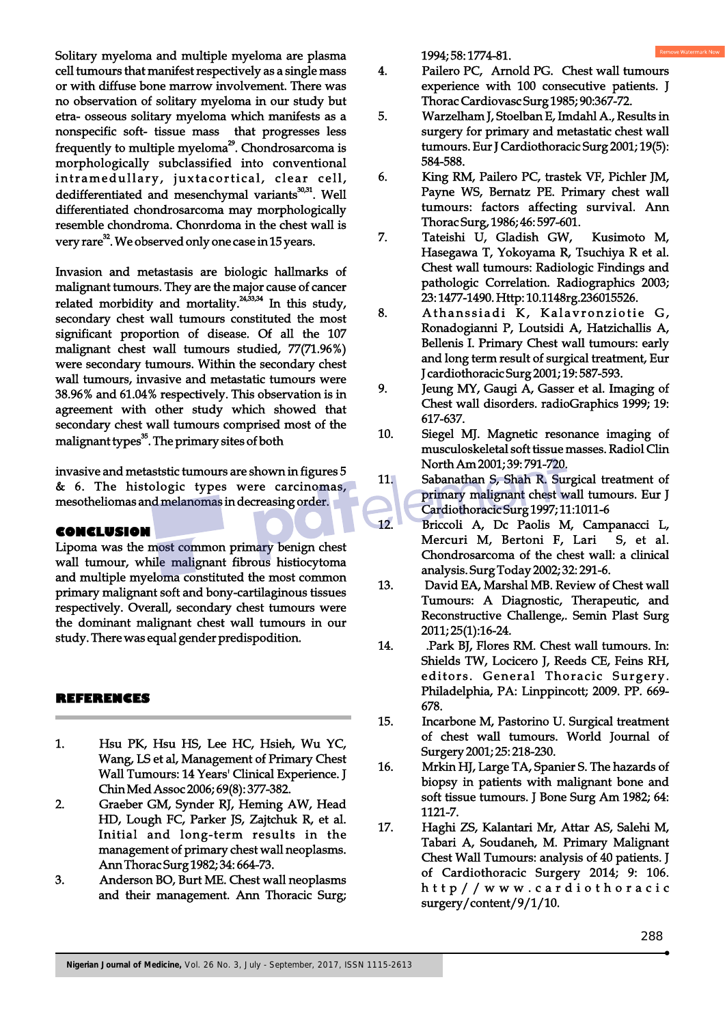Solitary myeloma and multiple myeloma are plasma cell tumours that manifest respectively as a single mass or with diffuse bone marrow involvement. There was no observation of solitary myeloma in our study but etra- osseous solitary myeloma which manifests as a nonspecific soft- tissue mass that progresses less frequently to multiple myeloma<sup>29</sup>. Chondrosarcoma is morphologically subclassified into conventional intramedullary, juxtacortical, clear cell, dedifferentiated and mesenchymal variants<sup>30,31</sup>. Well differentiated chondrosarcoma may morphologically resemble chondroma. Chonrdoma in the chest wall is very rare<sup>32</sup>. We observed only one case in 15 years.

Invasion and metastasis are biologic hallmarks of malignant tumours. They are the major cause of cancer related morbidity and mortality. $24,33,34$  In this study, secondary chest wall tumours constituted the most significant proportion of disease. Of all the 107 malignant chest wall tumours studied, 77(71.96%) were secondary tumours. Within the secondary chest wall tumours, invasive and metastatic tumours were 38.96% and 61.04% respectively. This observation is in agreement with other study which showed that secondary chest wall tumours comprised most of the malignant types<sup>35</sup>. The primary sites of both

invasive and metaststic tumours are shown in figures 5 & 6. The histologic types were carcinomas, mesotheliomas and melanomas in decreasing order.

#### **CONCLUSION**

Lipoma was the most common primary benign chest wall tumour, while malignant fibrous histiocytoma and multiple myeloma constituted the most common primary malignant soft and bony-cartilaginous tissues respectively. Overall, secondary chest tumours were the dominant malignant chest wall tumours in our study. There was equal gender predispodition.

## **REFERENCES**

- 1. Hsu PK, Hsu HS, Lee HC, Hsieh, Wu YC, Wang, LS et al, Management of Primary Chest Wall Tumours: 14 Years' Clinical Experience. J Chin Med Assoc 2006; 69(8): 377-382.
- 2. Graeber GM, Synder RJ, Heming AW, Head HD, Lough FC, Parker JS, Zajtchuk R, et al. Initial and long-term results in the management of primary chest wall neoplasms. Ann Thorac Surg 1982; 34: 664-73.
- 3. Anderson BO, Burt ME. Chest wall neoplasms and their management. Ann Thoracic Surg;

1994; 58: 1774-81.

- 4. Pailero PC, Arnold PG. Chest wall tumours experience with 100 consecutive patients. J Thorac Cardiovasc Surg 1985; 90:367-72.
- 5. Warzelham J, Stoelban E, Imdahl A., Results in surgery for primary and metastatic chest wall tumours. Eur J Cardiothoracic Surg 2001; 19(5): 584-588.
- 6. King RM, Pailero PC, trastek VF, Pichler JM, Payne WS, Bernatz PE. Primary chest wall tumours: factors affecting survival. Ann Thorac Surg, 1986; 46: 597-601.
- 7. Tateishi U, Gladish GW, Kusimoto M, Hasegawa T, Yokoyama R, Tsuchiya R et al. Chest wall tumours: Radiologic Findings and pathologic Correlation. Radiographics 2003; 23: 1477-1490. Http: 10.1148rg.236015526.
- 8. Athanssiadi K, Kalavronziotie G, Ronadogianni P, Loutsidi A, Hatzichallis A, Bellenis I. Primary Chest wall tumours: early and long term result of surgical treatment, Eur J cardiothoracic Surg 2001; 19: 587-593.
- 9. Jeung MY, Gaugi A, Gasser et al. Imaging of Chest wall disorders. radioGraphics 1999; 19: 617-637.
- 10. Siegel MJ. Magnetic resonance imaging of musculoskeletal soft tissue masses. Radiol Clin North Am 2001; 39: 791-720.
- 11. Sabanathan S, Shah R. Surgical treatment of primary malignant chest wall tumours. Eur J Cardiothoracic Surg 1997; 11:1011-6
- 12. Briccoli A, Dc Paolis M, Campanacci L, Mercuri M, Bertoni F, Lari S, et al. Chondrosarcoma of the chest wall: a clinical analysis. Surg Today 2002; 32: 291-6.
- 13. David EA, Marshal MB. Review of Chest wall Tumours: A Diagnostic, Therapeutic, and Reconstructive Challenge,. Semin Plast Surg 2011; 25(1):16-24.
- 14. .Park BJ, Flores RM. Chest wall tumours. In: Shields TW, Locicero J, Reeds CE, Feins RH, editors. General Thoracic Surgery. Philadelphia, PA: Linppincott; 2009. PP. 669- 678.
- 15. Incarbone M, Pastorino U. Surgical treatment of chest wall tumours. World Journal of Surgery 2001; 25: 218-230.
- 16. Mrkin HJ, Large TA, Spanier S. The hazards of biopsy in patients with malignant bone and soft tissue tumours. J Bone Surg Am 1982; 64: 1121-7.
- 17. Haghi ZS, Kalantari Mr, Attar AS, Salehi M, Tabari A, Soudaneh, M. Primary Malignant Chest Wall Tumours: analysis of 40 patients. J of Cardiothoracic Surgery 2014; 9: 106. http / / w w w . cardioth oracic surgery/content/9/1/10.